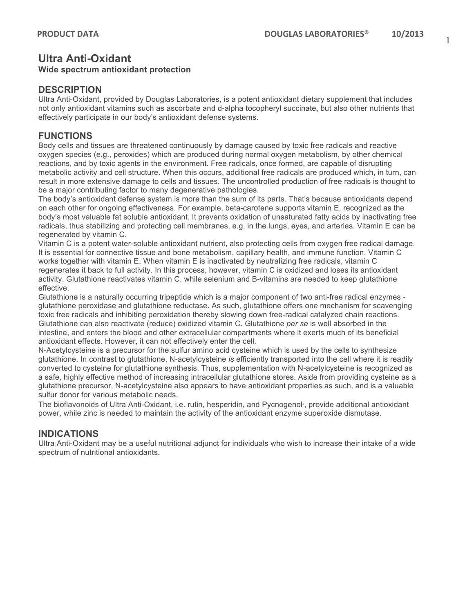# **Ultra Anti-Oxidant**

#### **Wide spectrum antioxidant protection**

#### **DESCRIPTION**

Ultra Anti-Oxidant, provided by Douglas Laboratories, is a potent antioxidant dietary supplement that includes not only antioxidant vitamins such as ascorbate and d-alpha tocopheryl succinate, but also other nutrients that effectively participate in our body's antioxidant defense systems.

### **FUNCTIONS**

Body cells and tissues are threatened continuously by damage caused by toxic free radicals and reactive oxygen species (e.g., peroxides) which are produced during normal oxygen metabolism, by other chemical reactions, and by toxic agents in the environment. Free radicals, once formed, are capable of disrupting metabolic activity and cell structure. When this occurs, additional free radicals are produced which, in turn, can result in more extensive damage to cells and tissues. The uncontrolled production of free radicals is thought to be a major contributing factor to many degenerative pathologies.

The body's antioxidant defense system is more than the sum of its parts. That's because antioxidants depend on each other for ongoing effectiveness. For example, beta-carotene supports vitamin E, recognized as the body's most valuable fat soluble antioxidant. It prevents oxidation of unsaturated fatty acids by inactivating free radicals, thus stabilizing and protecting cell membranes, e.g. in the lungs, eyes, and arteries. Vitamin E can be regenerated by vitamin C.

Vitamin C is a potent water-soluble antioxidant nutrient, also protecting cells from oxygen free radical damage. It is essential for connective tissue and bone metabolism, capillary health, and immune function. Vitamin C works together with vitamin E. When vitamin E is inactivated by neutralizing free radicals, vitamin C regenerates it back to full activity. In this process, however, vitamin C is oxidized and loses its antioxidant activity. Glutathione reactivates vitamin C, while selenium and B-vitamins are needed to keep glutathione effective.

Glutathione is a naturally occurring tripeptide which is a major component of two anti-free radical enzymes glutathione peroxidase and glutathione reductase. As such, glutathione offers one mechanism for scavenging toxic free radicals and inhibiting peroxidation thereby slowing down free-radical catalyzed chain reactions. Glutathione can also reactivate (reduce) oxidized vitamin C. Glutathione *per se* is well absorbed in the intestine, and enters the blood and other extracellular compartments where it exerts much of its beneficial antioxidant effects. However, it can not effectively enter the cell.

N-Acetylcysteine is a precursor for the sulfur amino acid cysteine which is used by the cells to synthesize glutathione. In contrast to glutathione, N-acetylcysteine *is* efficiently transported into the cell where it is readily converted to cysteine for glutathione synthesis. Thus, supplementation with N-acetylcysteine is recognized as a safe, highly effective method of increasing intracellular glutathione stores. Aside from providing cysteine as a glutathione precursor, N-acetylcysteine also appears to have antioxidant properties as such, and is a valuable sulfur donor for various metabolic needs.

The bioflavonoids of Ultra Anti-Oxidant, i.e. rutin, hesperidin, and Pycnogenol•, provide additional antioxidant power, while zinc is needed to maintain the activity of the antioxidant enzyme superoxide dismutase.

### **INDICATIONS**

Ultra Anti-Oxidant may be a useful nutritional adjunct for individuals who wish to increase their intake of a wide spectrum of nutritional antioxidants.

1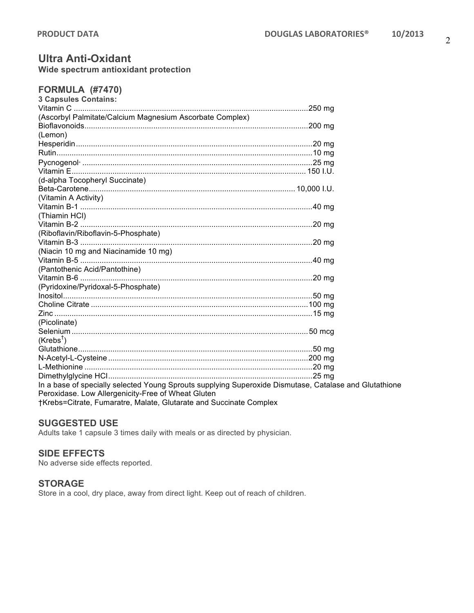## **Ultra Anti-Oxidant**

**Wide spectrum antioxidant protection**

## **FORMULA (#7470)**

| <b>3 Capsules Contains:</b>                                                                            |  |
|--------------------------------------------------------------------------------------------------------|--|
|                                                                                                        |  |
| (Ascorbyl Palmitate/Calcium Magnesium Ascorbate Complex)                                               |  |
|                                                                                                        |  |
| (Lemon)                                                                                                |  |
|                                                                                                        |  |
|                                                                                                        |  |
|                                                                                                        |  |
|                                                                                                        |  |
| (d-alpha Tocopheryl Succinate)                                                                         |  |
|                                                                                                        |  |
| (Vitamin A Activity)                                                                                   |  |
|                                                                                                        |  |
| (Thiamin HCI)                                                                                          |  |
|                                                                                                        |  |
| (Riboflavin/Riboflavin-5-Phosphate)                                                                    |  |
|                                                                                                        |  |
| (Niacin 10 mg and Niacinamide 10 mg)                                                                   |  |
|                                                                                                        |  |
| (Pantothenic Acid/Pantothine)                                                                          |  |
|                                                                                                        |  |
| (Pyridoxine/Pyridoxal-5-Phosphate)                                                                     |  |
|                                                                                                        |  |
|                                                                                                        |  |
|                                                                                                        |  |
| (Picolinate)                                                                                           |  |
|                                                                                                        |  |
| $(Krebs^{\dagger})$                                                                                    |  |
|                                                                                                        |  |
|                                                                                                        |  |
|                                                                                                        |  |
|                                                                                                        |  |
| In a base of specially selected Young Sprouts supplying Superoxide Dismutase, Catalase and Glutathione |  |
| Peroxidase. Low Allergenicity-Free of Wheat Gluten                                                     |  |
| †Krebs=Citrate, Fumaratre, Malate, Glutarate and Succinate Complex                                     |  |

### **SUGGESTED USE**

Adults take 1 capsule 3 times daily with meals or as directed by physician.

## **SIDE EFFECTS**

No adverse side effects reported.

#### **STORAGE**

Store in a cool, dry place, away from direct light. Keep out of reach of children.